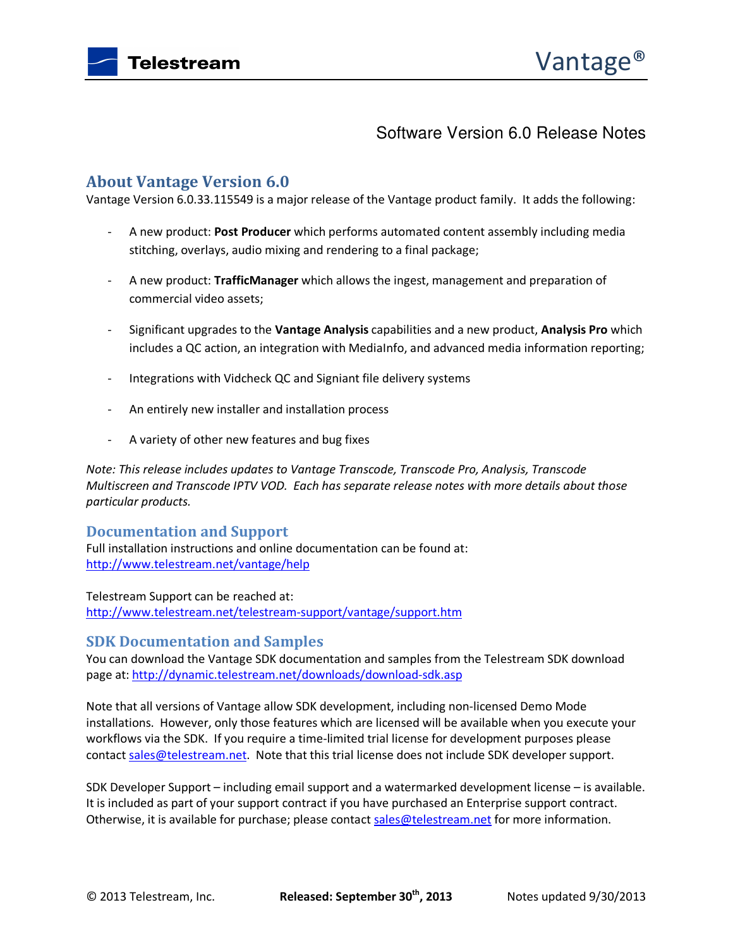

# Software Version 6.0 Release Notes

# **About Vantage Version 6.0**

Vantage Version 6.0.33.115549 is a major release of the Vantage product family. It adds the following:

- A new product: **Post Producer** which performs automated content assembly including media stitching, overlays, audio mixing and rendering to a final package;
- A new product: **TrafficManager** which allows the ingest, management and preparation of commercial video assets;
- Significant upgrades to the **Vantage Analysis** capabilities and a new product, **Analysis Pro** which includes a QC action, an integration with MediaInfo, and advanced media information reporting;
- Integrations with Vidcheck QC and Signiant file delivery systems
- An entirely new installer and installation process
- A variety of other new features and bug fixes

*Note: This release includes updates to Vantage Transcode, Transcode Pro, Analysis, Transcode Multiscreen and Transcode IPTV VOD. Each has separate release notes with more details about those particular products.* 

### **Documentation and Support**

Full installation instructions and online documentation can be found at: http://www.telestream.net/vantage/help

Telestream Support can be reached at: http://www.telestream.net/telestream-support/vantage/support.htm

# **SDK Documentation and Samples**

You can download the Vantage SDK documentation and samples from the Telestream SDK download page at: http://dynamic.telestream.net/downloads/download-sdk.asp

Note that all versions of Vantage allow SDK development, including non-licensed Demo Mode installations. However, only those features which are licensed will be available when you execute your workflows via the SDK. If you require a time-limited trial license for development purposes please contact sales@telestream.net. Note that this trial license does not include SDK developer support.

SDK Developer Support – including email support and a watermarked development license – is available. It is included as part of your support contract if you have purchased an Enterprise support contract. Otherwise, it is available for purchase; please contact sales@telestream.net for more information.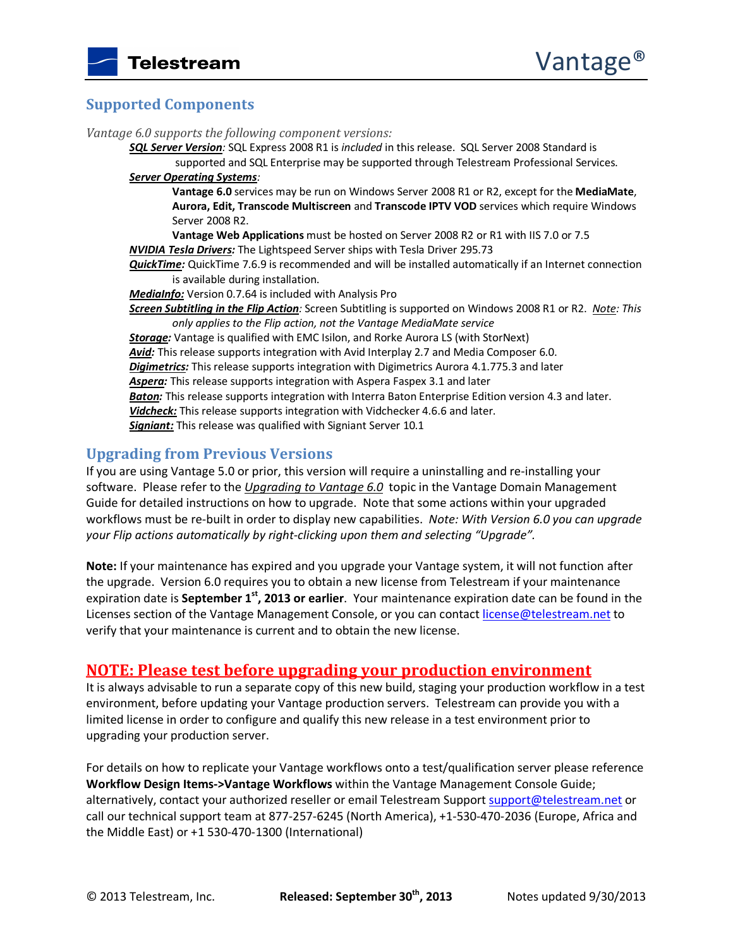# **Supported Components**

*Vantage 6.0 supports the following component versions:* 

*SQL Server Version:* SQL Express 2008 R1 is *included* in this release. SQL Server 2008 Standard is supported and SQL Enterprise may be supported through Telestream Professional Services.

*Server Operating Systems:*

**Vantage 6.0** services may be run on Windows Server 2008 R1 or R2, except for the **MediaMate**, **Aurora, Edit, Transcode Multiscreen** and **Transcode IPTV VOD** services which require Windows Server 2008 R2.

**Vantage Web Applications** must be hosted on Server 2008 R2 or R1 with IIS 7.0 or 7.5 *NVIDIA Tesla Drivers:* The Lightspeed Server ships with Tesla Driver 295.73

*QuickTime:* QuickTime 7.6.9 is recommended and will be installed automatically if an Internet connection is available during installation.

*MediaInfo:* Version 0.7.64 is included with Analysis Pro

*Screen Subtitling in the Flip Action:* Screen Subtitling is supported on Windows 2008 R1 or R2. *Note: This only applies to the Flip action, not the Vantage MediaMate service* 

*Storage:* Vantage is qualified with EMC Isilon, and Rorke Aurora LS (with StorNext) *Avid:* This release supports integration with Avid Interplay 2.7 and Media Composer 6.0. *Digimetrics:* This release supports integration with Digimetrics Aurora 4.1.775.3 and later *Aspera:* This release supports integration with Aspera Faspex 3.1 and later *Baton:* This release supports integration with Interra Baton Enterprise Edition version 4.3 and later. *Vidcheck:* This release supports integration with Vidchecker 4.6.6 and later. *Signiant:* This release was qualified with Signiant Server 10.1

# **Upgrading from Previous Versions**

If you are using Vantage 5.0 or prior, this version will require a uninstalling and re-installing your software. Please refer to the *Upgrading to Vantage 6.0* topic in the Vantage Domain Management Guide for detailed instructions on how to upgrade. Note that some actions within your upgraded workflows must be re-built in order to display new capabilities. *Note: With Version 6.0 you can upgrade your Flip actions automatically by right-clicking upon them and selecting "Upgrade".* 

**Note:** If your maintenance has expired and you upgrade your Vantage system, it will not function after the upgrade. Version 6.0 requires you to obtain a new license from Telestream if your maintenance expiration date is **September 1st, 2013 or earlier**. Your maintenance expiration date can be found in the Licenses section of the Vantage Management Console, or you can contact license@telestream.net to verify that your maintenance is current and to obtain the new license.

# **NOTE: Please test before upgrading your production environment**

It is always advisable to run a separate copy of this new build, staging your production workflow in a test environment, before updating your Vantage production servers. Telestream can provide you with a limited license in order to configure and qualify this new release in a test environment prior to upgrading your production server.

For details on how to replicate your Vantage workflows onto a test/qualification server please reference **Workflow Design Items->Vantage Workflows** within the Vantage Management Console Guide; alternatively, contact your authorized reseller or email Telestream Support support@telestream.net or call our technical support team at 877-257-6245 (North America), +1-530-470-2036 (Europe, Africa and the Middle East) or +1 530-470-1300 (International)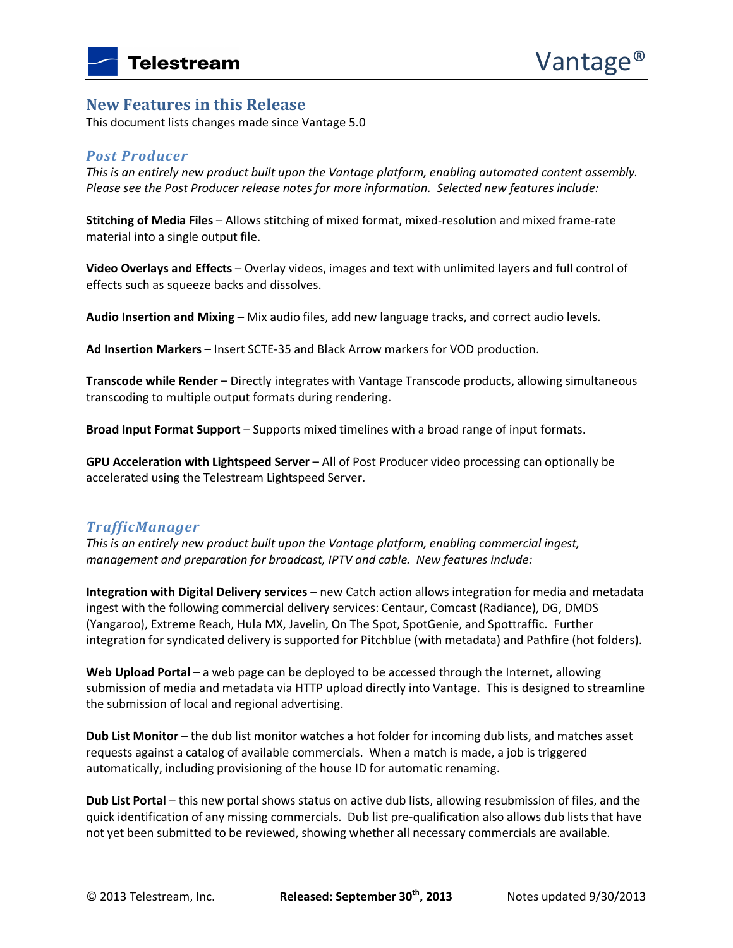#### **New Features in this Release**

This document lists changes made since Vantage 5.0

#### *Post Producer*

*This is an entirely new product built upon the Vantage platform, enabling automated content assembly. Please see the Post Producer release notes for more information. Selected new features include:* 

**Stitching of Media Files** – Allows stitching of mixed format, mixed-resolution and mixed frame-rate material into a single output file.

**Video Overlays and Effects** – Overlay videos, images and text with unlimited layers and full control of effects such as squeeze backs and dissolves.

**Audio Insertion and Mixing** – Mix audio files, add new language tracks, and correct audio levels.

**Ad Insertion Markers** – Insert SCTE-35 and Black Arrow markers for VOD production.

**Transcode while Render** – Directly integrates with Vantage Transcode products, allowing simultaneous transcoding to multiple output formats during rendering.

**Broad Input Format Support** – Supports mixed timelines with a broad range of input formats.

**GPU Acceleration with Lightspeed Server** – All of Post Producer video processing can optionally be accelerated using the Telestream Lightspeed Server.

### *TrafficManager*

*This is an entirely new product built upon the Vantage platform, enabling commercial ingest, management and preparation for broadcast, IPTV and cable. New features include:* 

**Integration with Digital Delivery services** – new Catch action allows integration for media and metadata ingest with the following commercial delivery services: Centaur, Comcast (Radiance), DG, DMDS (Yangaroo), Extreme Reach, Hula MX, Javelin, On The Spot, SpotGenie, and Spottraffic. Further integration for syndicated delivery is supported for Pitchblue (with metadata) and Pathfire (hot folders).

**Web Upload Portal** – a web page can be deployed to be accessed through the Internet, allowing submission of media and metadata via HTTP upload directly into Vantage. This is designed to streamline the submission of local and regional advertising.

Dub List Monitor - the dub list monitor watches a hot folder for incoming dub lists, and matches asset requests against a catalog of available commercials. When a match is made, a job is triggered automatically, including provisioning of the house ID for automatic renaming.

**Dub List Portal** – this new portal shows status on active dub lists, allowing resubmission of files, and the quick identification of any missing commercials. Dub list pre-qualification also allows dub lists that have not yet been submitted to be reviewed, showing whether all necessary commercials are available.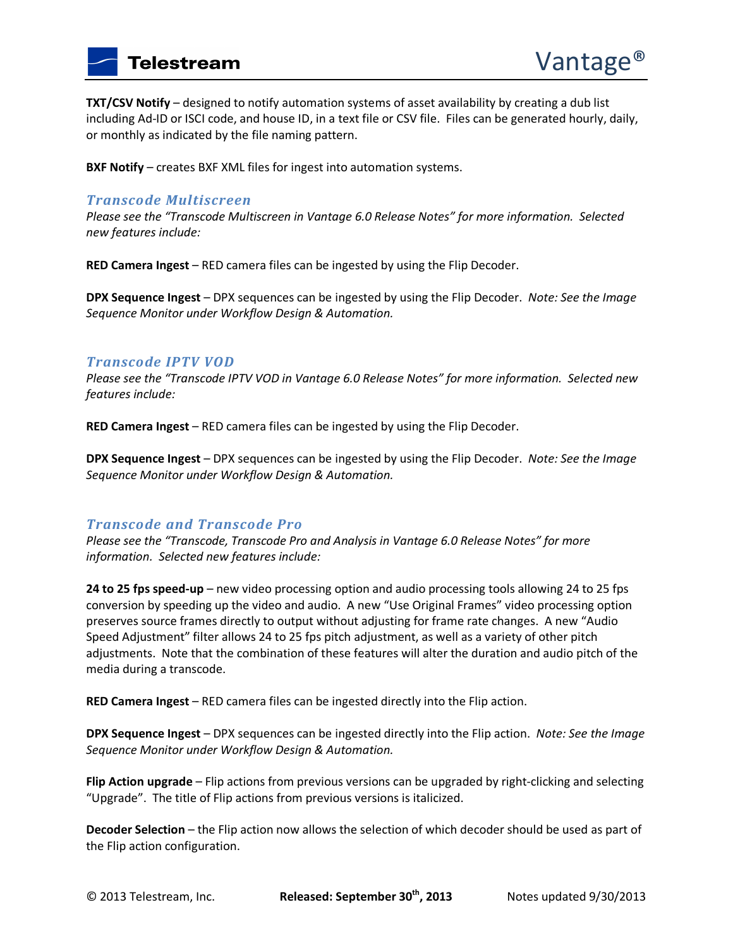**TXT/CSV Notify** – designed to notify automation systems of asset availability by creating a dub list including Ad-ID or ISCI code, and house ID, in a text file or CSV file. Files can be generated hourly, daily, or monthly as indicated by the file naming pattern.

**BXF Notify** – creates BXF XML files for ingest into automation systems.

### *Transcode Multiscreen*

*Please see the "Transcode Multiscreen in Vantage 6.0 Release Notes" for more information. Selected new features include:* 

**RED Camera Ingest** – RED camera files can be ingested by using the Flip Decoder.

**DPX Sequence Ingest** – DPX sequences can be ingested by using the Flip Decoder. *Note: See the Image Sequence Monitor under Workflow Design & Automation.*

#### *Transcode IPTV VOD*

*Please see the "Transcode IPTV VOD in Vantage 6.0 Release Notes" for more information. Selected new features include:* 

**RED Camera Ingest** – RED camera files can be ingested by using the Flip Decoder.

**DPX Sequence Ingest** – DPX sequences can be ingested by using the Flip Decoder. *Note: See the Image Sequence Monitor under Workflow Design & Automation.*

### *Transcode and Transcode Pro*

*Please see the "Transcode, Transcode Pro and Analysis in Vantage 6.0 Release Notes" for more information. Selected new features include:* 

**24 to 25 fps speed-up** – new video processing option and audio processing tools allowing 24 to 25 fps conversion by speeding up the video and audio. A new "Use Original Frames" video processing option preserves source frames directly to output without adjusting for frame rate changes. A new "Audio Speed Adjustment" filter allows 24 to 25 fps pitch adjustment, as well as a variety of other pitch adjustments. Note that the combination of these features will alter the duration and audio pitch of the media during a transcode.

**RED Camera Ingest** – RED camera files can be ingested directly into the Flip action.

**DPX Sequence Ingest** – DPX sequences can be ingested directly into the Flip action. *Note: See the Image Sequence Monitor under Workflow Design & Automation.* 

**Flip Action upgrade** – Flip actions from previous versions can be upgraded by right-clicking and selecting "Upgrade". The title of Flip actions from previous versions is italicized.

**Decoder Selection** – the Flip action now allows the selection of which decoder should be used as part of the Flip action configuration.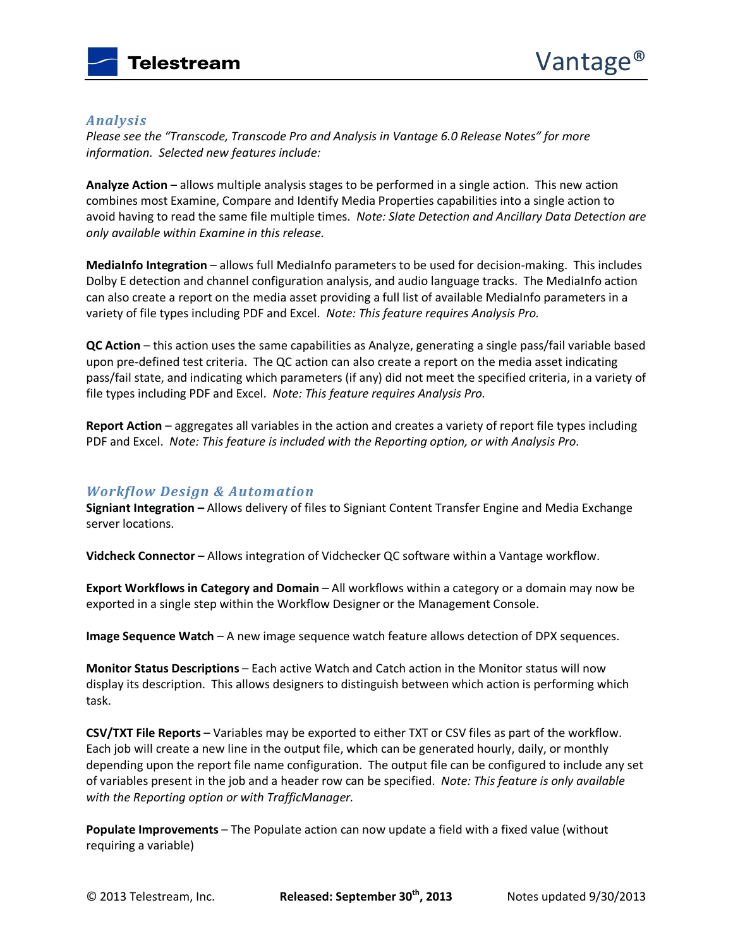

#### *Analysis*

*Please see the "Transcode, Transcode Pro and Analysis in Vantage 6.0 Release Notes" for more information. Selected new features include:* 

**Analyze Action** – allows multiple analysis stages to be performed in a single action. This new action combines most Examine, Compare and Identify Media Properties capabilities into a single action to avoid having to read the same file multiple times. *Note: Slate Detection and Ancillary Data Detection are only available within Examine in this release.* 

**MediaInfo Integration** – allows full MediaInfo parameters to be used for decision-making. This includes Dolby E detection and channel configuration analysis, and audio language tracks. The MediaInfo action can also create a report on the media asset providing a full list of available MediaInfo parameters in a variety of file types including PDF and Excel. *Note: This feature requires Analysis Pro.* 

**QC Action** – this action uses the same capabilities as Analyze, generating a single pass/fail variable based upon pre-defined test criteria. The QC action can also create a report on the media asset indicating pass/fail state, and indicating which parameters (if any) did not meet the specified criteria, in a variety of file types including PDF and Excel. *Note: This feature requires Analysis Pro.* 

**Report Action** – aggregates all variables in the action and creates a variety of report file types including PDF and Excel. *Note: This feature is included with the Reporting option, or with Analysis Pro.*

### *Workflow Design & Automation*

**Signiant Integration –** Allows delivery of files to Signiant Content Transfer Engine and Media Exchange server locations.

**Vidcheck Connector** – Allows integration of Vidchecker QC software within a Vantage workflow.

**Export Workflows in Category and Domain** – All workflows within a category or a domain may now be exported in a single step within the Workflow Designer or the Management Console.

**Image Sequence Watch** – A new image sequence watch feature allows detection of DPX sequences.

**Monitor Status Descriptions** – Each active Watch and Catch action in the Monitor status will now display its description. This allows designers to distinguish between which action is performing which task.

**CSV/TXT File Reports** – Variables may be exported to either TXT or CSV files as part of the workflow. Each job will create a new line in the output file, which can be generated hourly, daily, or monthly depending upon the report file name configuration. The output file can be configured to include any set of variables present in the job and a header row can be specified. *Note: This feature is only available with the Reporting option or with TrafficManager.* 

**Populate Improvements** – The Populate action can now update a field with a fixed value (without requiring a variable)

© 2013 Telestream, Inc. **Released: September 30th, 2013** Notes updated 9/30/2013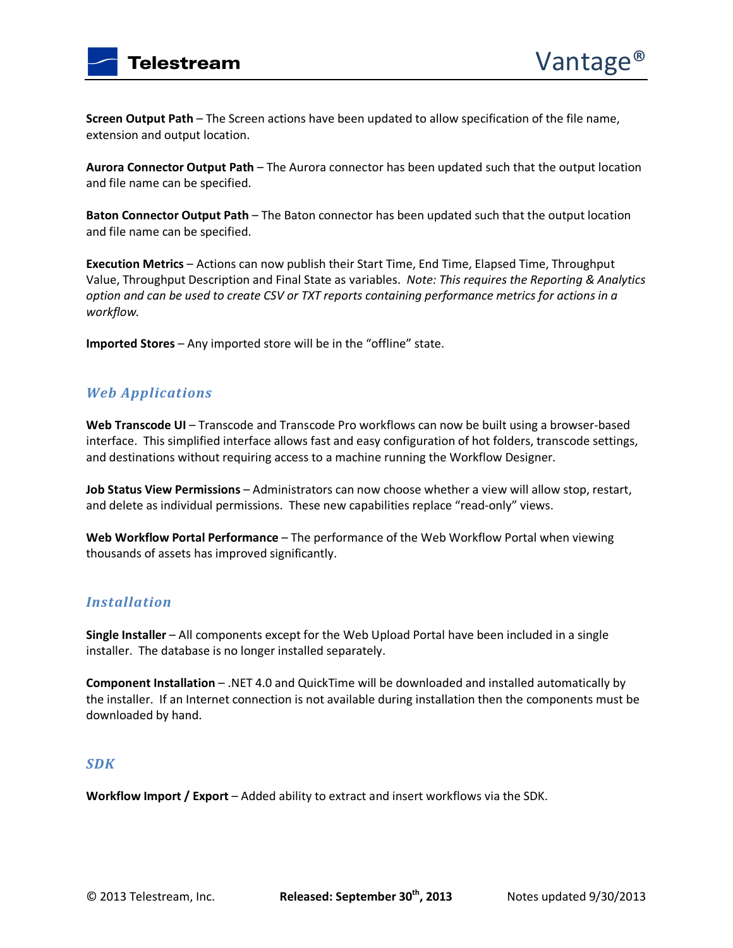

**Screen Output Path** – The Screen actions have been updated to allow specification of the file name, extension and output location.

**Aurora Connector Output Path** – The Aurora connector has been updated such that the output location and file name can be specified.

**Baton Connector Output Path** – The Baton connector has been updated such that the output location and file name can be specified.

**Execution Metrics** – Actions can now publish their Start Time, End Time, Elapsed Time, Throughput Value, Throughput Description and Final State as variables. *Note: This requires the Reporting & Analytics option and can be used to create CSV or TXT reports containing performance metrics for actions in a workflow.* 

**Imported Stores** – Any imported store will be in the "offline" state.

# *Web Applications*

Web Transcode UI - Transcode and Transcode Pro workflows can now be built using a browser-based interface. This simplified interface allows fast and easy configuration of hot folders, transcode settings, and destinations without requiring access to a machine running the Workflow Designer.

**Job Status View Permissions** – Administrators can now choose whether a view will allow stop, restart, and delete as individual permissions. These new capabilities replace "read-only" views.

**Web Workflow Portal Performance** – The performance of the Web Workflow Portal when viewing thousands of assets has improved significantly.

### *Installation*

**Single Installer** – All components except for the Web Upload Portal have been included in a single installer. The database is no longer installed separately.

**Component Installation** – .NET 4.0 and QuickTime will be downloaded and installed automatically by the installer. If an Internet connection is not available during installation then the components must be downloaded by hand.

### *SDK*

Workflow Import / Export - Added ability to extract and insert workflows via the SDK.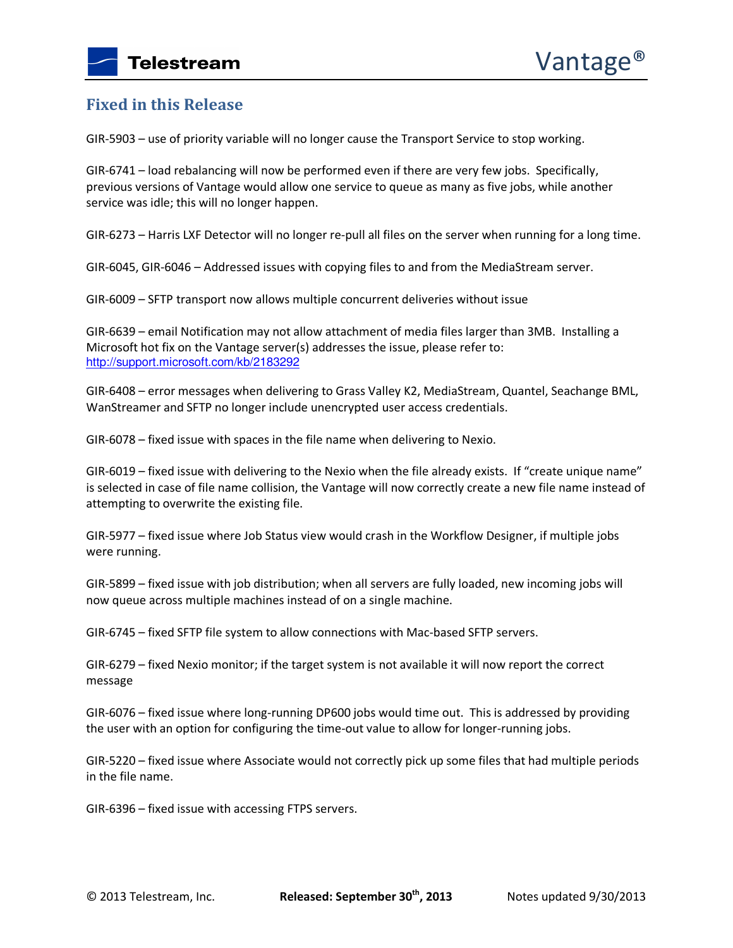# **Fixed in this Release**

GIR-5903 – use of priority variable will no longer cause the Transport Service to stop working.

GIR-6741 – load rebalancing will now be performed even if there are very few jobs. Specifically, previous versions of Vantage would allow one service to queue as many as five jobs, while another service was idle; this will no longer happen.

GIR-6273 – Harris LXF Detector will no longer re-pull all files on the server when running for a long time.

GIR-6045, GIR-6046 – Addressed issues with copying files to and from the MediaStream server.

GIR-6009 – SFTP transport now allows multiple concurrent deliveries without issue

GIR-6639 – email Notification may not allow attachment of media files larger than 3MB. Installing a Microsoft hot fix on the Vantage server(s) addresses the issue, please refer to: http://support.microsoft.com/kb/2183292

GIR-6408 – error messages when delivering to Grass Valley K2, MediaStream, Quantel, Seachange BML, WanStreamer and SFTP no longer include unencrypted user access credentials.

GIR-6078 – fixed issue with spaces in the file name when delivering to Nexio.

GIR-6019 – fixed issue with delivering to the Nexio when the file already exists. If "create unique name" is selected in case of file name collision, the Vantage will now correctly create a new file name instead of attempting to overwrite the existing file.

GIR-5977 – fixed issue where Job Status view would crash in the Workflow Designer, if multiple jobs were running.

GIR-5899 – fixed issue with job distribution; when all servers are fully loaded, new incoming jobs will now queue across multiple machines instead of on a single machine.

GIR-6745 – fixed SFTP file system to allow connections with Mac-based SFTP servers.

GIR-6279 – fixed Nexio monitor; if the target system is not available it will now report the correct message

GIR-6076 – fixed issue where long-running DP600 jobs would time out. This is addressed by providing the user with an option for configuring the time-out value to allow for longer-running jobs.

GIR-5220 – fixed issue where Associate would not correctly pick up some files that had multiple periods in the file name.

GIR-6396 – fixed issue with accessing FTPS servers.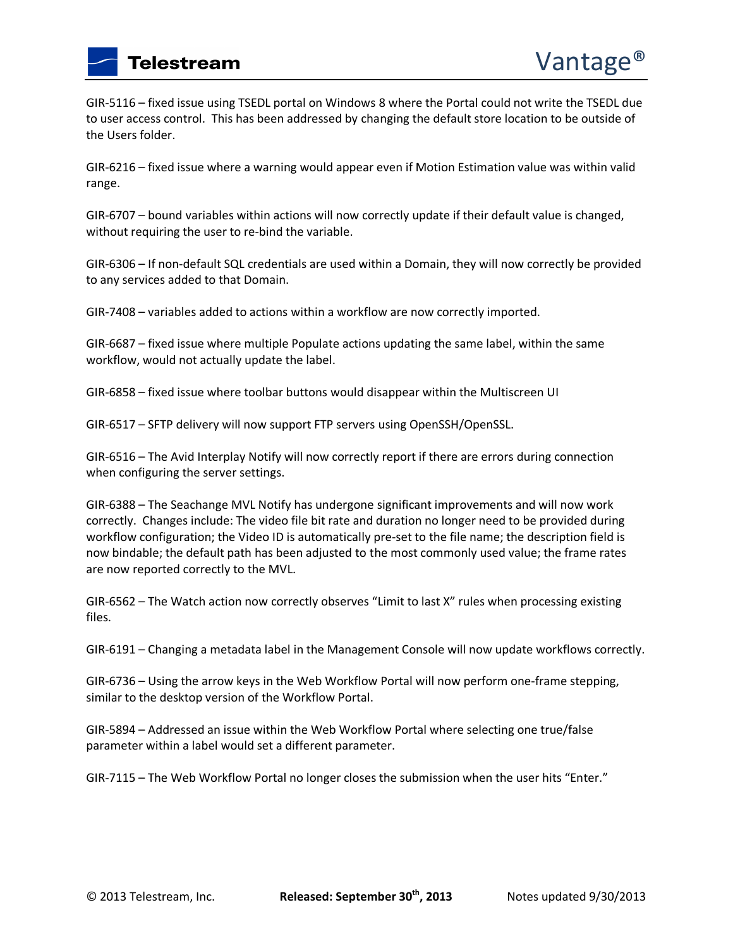GIR-5116 – fixed issue using TSEDL portal on Windows 8 where the Portal could not write the TSEDL due to user access control. This has been addressed by changing the default store location to be outside of the Users folder.

GIR-6216 – fixed issue where a warning would appear even if Motion Estimation value was within valid range.

GIR-6707 – bound variables within actions will now correctly update if their default value is changed, without requiring the user to re-bind the variable.

GIR-6306 – If non-default SQL credentials are used within a Domain, they will now correctly be provided to any services added to that Domain.

GIR-7408 – variables added to actions within a workflow are now correctly imported.

GIR-6687 – fixed issue where multiple Populate actions updating the same label, within the same workflow, would not actually update the label.

GIR-6858 – fixed issue where toolbar buttons would disappear within the Multiscreen UI

GIR-6517 – SFTP delivery will now support FTP servers using OpenSSH/OpenSSL.

GIR-6516 – The Avid Interplay Notify will now correctly report if there are errors during connection when configuring the server settings.

GIR-6388 – The Seachange MVL Notify has undergone significant improvements and will now work correctly. Changes include: The video file bit rate and duration no longer need to be provided during workflow configuration; the Video ID is automatically pre-set to the file name; the description field is now bindable; the default path has been adjusted to the most commonly used value; the frame rates are now reported correctly to the MVL.

GIR-6562 – The Watch action now correctly observes "Limit to last X" rules when processing existing files.

GIR-6191 – Changing a metadata label in the Management Console will now update workflows correctly.

GIR-6736 – Using the arrow keys in the Web Workflow Portal will now perform one-frame stepping, similar to the desktop version of the Workflow Portal.

GIR-5894 – Addressed an issue within the Web Workflow Portal where selecting one true/false parameter within a label would set a different parameter.

GIR-7115 – The Web Workflow Portal no longer closes the submission when the user hits "Enter."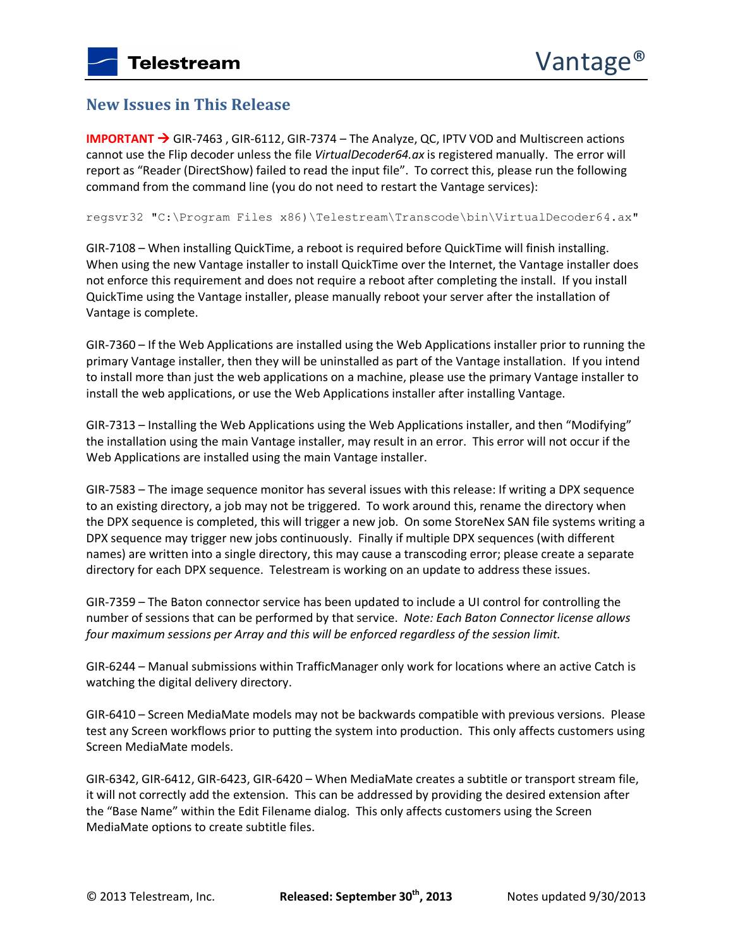# **New Issues in This Release**

**IMPORTANT → GIR-7463, GIR-6112, GIR-7374 – The Analyze, QC, IPTV VOD and Multiscreen actions** cannot use the Flip decoder unless the file *VirtualDecoder64.ax* is registered manually. The error will report as "Reader (DirectShow) failed to read the input file". To correct this, please run the following command from the command line (you do not need to restart the Vantage services):

regsvr32 "C:\Program Files x86)\Telestream\Transcode\bin\VirtualDecoder64.ax"

GIR-7108 – When installing QuickTime, a reboot is required before QuickTime will finish installing. When using the new Vantage installer to install QuickTime over the Internet, the Vantage installer does not enforce this requirement and does not require a reboot after completing the install. If you install QuickTime using the Vantage installer, please manually reboot your server after the installation of Vantage is complete.

GIR-7360 – If the Web Applications are installed using the Web Applications installer prior to running the primary Vantage installer, then they will be uninstalled as part of the Vantage installation. If you intend to install more than just the web applications on a machine, please use the primary Vantage installer to install the web applications, or use the Web Applications installer after installing Vantage.

GIR-7313 – Installing the Web Applications using the Web Applications installer, and then "Modifying" the installation using the main Vantage installer, may result in an error. This error will not occur if the Web Applications are installed using the main Vantage installer.

GIR-7583 – The image sequence monitor has several issues with this release: If writing a DPX sequence to an existing directory, a job may not be triggered. To work around this, rename the directory when the DPX sequence is completed, this will trigger a new job. On some StoreNex SAN file systems writing a DPX sequence may trigger new jobs continuously. Finally if multiple DPX sequences (with different names) are written into a single directory, this may cause a transcoding error; please create a separate directory for each DPX sequence. Telestream is working on an update to address these issues.

GIR-7359 – The Baton connector service has been updated to include a UI control for controlling the number of sessions that can be performed by that service. *Note: Each Baton Connector license allows four maximum sessions per Array and this will be enforced regardless of the session limit.* 

GIR-6244 – Manual submissions within TrafficManager only work for locations where an active Catch is watching the digital delivery directory.

GIR-6410 – Screen MediaMate models may not be backwards compatible with previous versions. Please test any Screen workflows prior to putting the system into production. This only affects customers using Screen MediaMate models.

GIR-6342, GIR-6412, GIR-6423, GIR-6420 – When MediaMate creates a subtitle or transport stream file, it will not correctly add the extension. This can be addressed by providing the desired extension after the "Base Name" within the Edit Filename dialog. This only affects customers using the Screen MediaMate options to create subtitle files.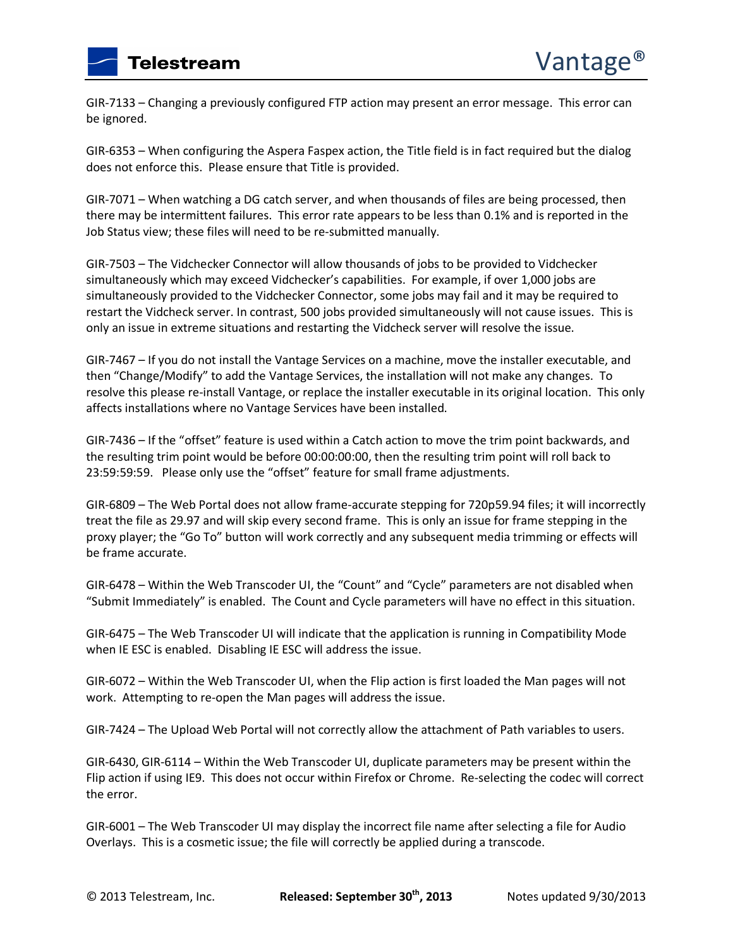GIR-7133 – Changing a previously configured FTP action may present an error message. This error can be ignored.

GIR-6353 – When configuring the Aspera Faspex action, the Title field is in fact required but the dialog does not enforce this. Please ensure that Title is provided.

GIR-7071 – When watching a DG catch server, and when thousands of files are being processed, then there may be intermittent failures. This error rate appears to be less than 0.1% and is reported in the Job Status view; these files will need to be re-submitted manually.

GIR-7503 – The Vidchecker Connector will allow thousands of jobs to be provided to Vidchecker simultaneously which may exceed Vidchecker's capabilities. For example, if over 1,000 jobs are simultaneously provided to the Vidchecker Connector, some jobs may fail and it may be required to restart the Vidcheck server. In contrast, 500 jobs provided simultaneously will not cause issues. This is only an issue in extreme situations and restarting the Vidcheck server will resolve the issue.

GIR-7467 – If you do not install the Vantage Services on a machine, move the installer executable, and then "Change/Modify" to add the Vantage Services, the installation will not make any changes. To resolve this please re-install Vantage, or replace the installer executable in its original location. This only affects installations where no Vantage Services have been installed.

GIR-7436 – If the "offset" feature is used within a Catch action to move the trim point backwards, and the resulting trim point would be before 00:00:00:00, then the resulting trim point will roll back to 23:59:59:59. Please only use the "offset" feature for small frame adjustments.

GIR-6809 – The Web Portal does not allow frame-accurate stepping for 720p59.94 files; it will incorrectly treat the file as 29.97 and will skip every second frame. This is only an issue for frame stepping in the proxy player; the "Go To" button will work correctly and any subsequent media trimming or effects will be frame accurate.

GIR-6478 – Within the Web Transcoder UI, the "Count" and "Cycle" parameters are not disabled when "Submit Immediately" is enabled. The Count and Cycle parameters will have no effect in this situation.

GIR-6475 – The Web Transcoder UI will indicate that the application is running in Compatibility Mode when IE ESC is enabled. Disabling IE ESC will address the issue.

GIR-6072 – Within the Web Transcoder UI, when the Flip action is first loaded the Man pages will not work. Attempting to re-open the Man pages will address the issue.

GIR-7424 – The Upload Web Portal will not correctly allow the attachment of Path variables to users.

GIR-6430, GIR-6114 – Within the Web Transcoder UI, duplicate parameters may be present within the Flip action if using IE9. This does not occur within Firefox or Chrome. Re-selecting the codec will correct the error.

GIR-6001 – The Web Transcoder UI may display the incorrect file name after selecting a file for Audio Overlays. This is a cosmetic issue; the file will correctly be applied during a transcode.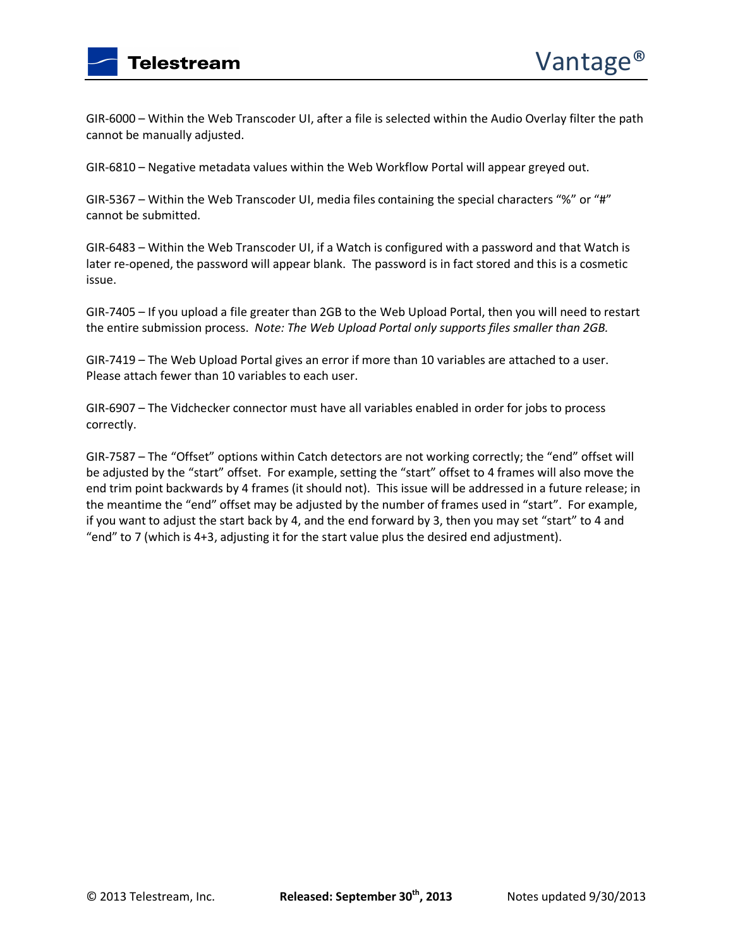

GIR-6000 – Within the Web Transcoder UI, after a file is selected within the Audio Overlay filter the path cannot be manually adjusted.

GIR-6810 – Negative metadata values within the Web Workflow Portal will appear greyed out.

GIR-5367 – Within the Web Transcoder UI, media files containing the special characters "%" or "#" cannot be submitted.

GIR-6483 – Within the Web Transcoder UI, if a Watch is configured with a password and that Watch is later re-opened, the password will appear blank. The password is in fact stored and this is a cosmetic issue.

GIR-7405 – If you upload a file greater than 2GB to the Web Upload Portal, then you will need to restart the entire submission process. *Note: The Web Upload Portal only supports files smaller than 2GB.*

GIR-7419 – The Web Upload Portal gives an error if more than 10 variables are attached to a user. Please attach fewer than 10 variables to each user.

GIR-6907 – The Vidchecker connector must have all variables enabled in order for jobs to process correctly.

GIR-7587 – The "Offset" options within Catch detectors are not working correctly; the "end" offset will be adjusted by the "start" offset. For example, setting the "start" offset to 4 frames will also move the end trim point backwards by 4 frames (it should not). This issue will be addressed in a future release; in the meantime the "end" offset may be adjusted by the number of frames used in "start". For example, if you want to adjust the start back by 4, and the end forward by 3, then you may set "start" to 4 and "end" to 7 (which is 4+3, adjusting it for the start value plus the desired end adjustment).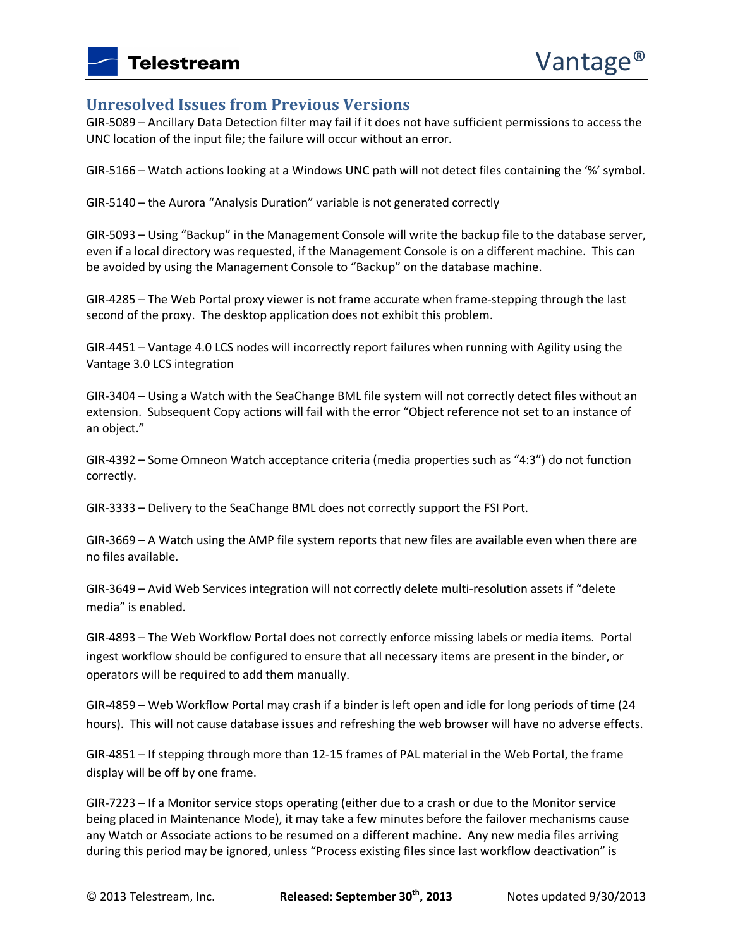### **Unresolved Issues from Previous Versions**

GIR-5089 – Ancillary Data Detection filter may fail if it does not have sufficient permissions to access the UNC location of the input file; the failure will occur without an error.

GIR-5166 – Watch actions looking at a Windows UNC path will not detect files containing the '%' symbol.

GIR-5140 – the Aurora "Analysis Duration" variable is not generated correctly

GIR-5093 – Using "Backup" in the Management Console will write the backup file to the database server, even if a local directory was requested, if the Management Console is on a different machine. This can be avoided by using the Management Console to "Backup" on the database machine.

GIR-4285 – The Web Portal proxy viewer is not frame accurate when frame-stepping through the last second of the proxy. The desktop application does not exhibit this problem.

GIR-4451 – Vantage 4.0 LCS nodes will incorrectly report failures when running with Agility using the Vantage 3.0 LCS integration

GIR-3404 – Using a Watch with the SeaChange BML file system will not correctly detect files without an extension. Subsequent Copy actions will fail with the error "Object reference not set to an instance of an object."

GIR-4392 – Some Omneon Watch acceptance criteria (media properties such as "4:3") do not function correctly.

GIR-3333 – Delivery to the SeaChange BML does not correctly support the FSI Port.

GIR-3669 – A Watch using the AMP file system reports that new files are available even when there are no files available.

GIR-3649 – Avid Web Services integration will not correctly delete multi-resolution assets if "delete media" is enabled.

GIR-4893 – The Web Workflow Portal does not correctly enforce missing labels or media items. Portal ingest workflow should be configured to ensure that all necessary items are present in the binder, or operators will be required to add them manually.

GIR-4859 – Web Workflow Portal may crash if a binder is left open and idle for long periods of time (24 hours). This will not cause database issues and refreshing the web browser will have no adverse effects.

GIR-4851 – If stepping through more than 12-15 frames of PAL material in the Web Portal, the frame display will be off by one frame.

GIR-7223 – If a Monitor service stops operating (either due to a crash or due to the Monitor service being placed in Maintenance Mode), it may take a few minutes before the failover mechanisms cause any Watch or Associate actions to be resumed on a different machine. Any new media files arriving during this period may be ignored, unless "Process existing files since last workflow deactivation" is

© 2013 Telestream, Inc. **Released: September 30th, 2013** Notes updated 9/30/2013